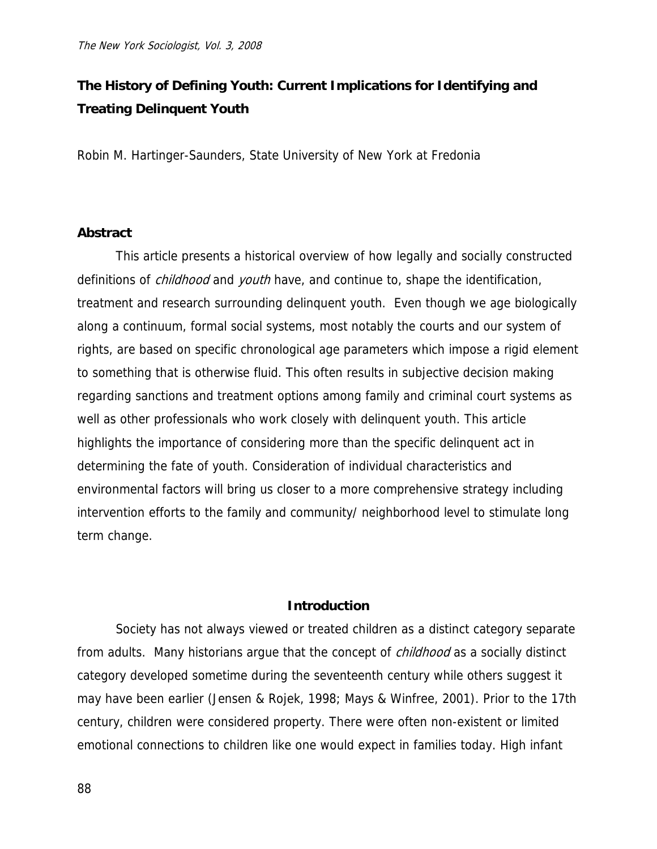# **The History of Defining Youth: Current Implications for Identifying and Treating Delinquent Youth**

Robin M. Hartinger-Saunders, State University of New York at Fredonia

# **Abstract**

 This article presents a historical overview of how legally and socially constructed definitions of *childhood* and *youth* have, and continue to, shape the identification, treatment and research surrounding delinquent youth. Even though we age biologically along a continuum, formal social systems, most notably the courts and our system of rights, are based on specific chronological age parameters which impose a rigid element to something that is otherwise fluid. This often results in subjective decision making regarding sanctions and treatment options among family and criminal court systems as well as other professionals who work closely with delinquent youth. This article highlights the importance of considering more than the specific delinquent act in determining the fate of youth. Consideration of individual characteristics and environmental factors will bring us closer to a more comprehensive strategy including intervention efforts to the family and community/ neighborhood level to stimulate long term change.

# **Introduction**

Society has not always viewed or treated children as a distinct category separate from adults. Many historians argue that the concept of *childhood* as a socially distinct category developed sometime during the seventeenth century while others suggest it may have been earlier (Jensen & Rojek, 1998; Mays & Winfree, 2001). Prior to the 17th century, children were considered property. There were often non-existent or limited emotional connections to children like one would expect in families today. High infant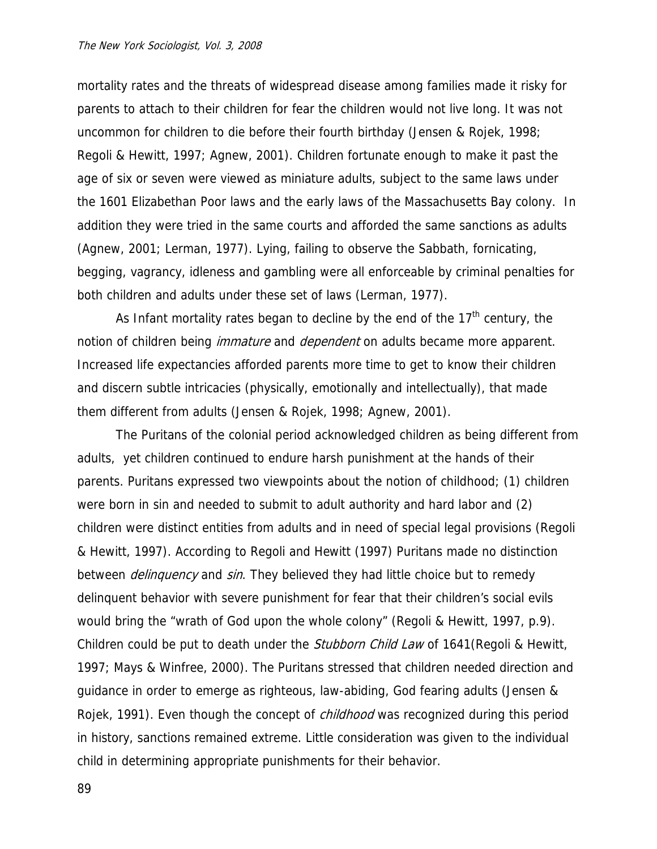mortality rates and the threats of widespread disease among families made it risky for parents to attach to their children for fear the children would not live long. It was not uncommon for children to die before their fourth birthday (Jensen & Rojek, 1998; Regoli & Hewitt, 1997; Agnew, 2001). Children fortunate enough to make it past the age of six or seven were viewed as miniature adults, subject to the same laws under the 1601 Elizabethan Poor laws and the early laws of the Massachusetts Bay colony. In addition they were tried in the same courts and afforded the same sanctions as adults (Agnew, 2001; Lerman, 1977). Lying, failing to observe the Sabbath, fornicating, begging, vagrancy, idleness and gambling were all enforceable by criminal penalties for both children and adults under these set of laws (Lerman, 1977).

As Infant mortality rates began to decline by the end of the  $17<sup>th</sup>$  century, the notion of children being *immature* and *dependent* on adults became more apparent. Increased life expectancies afforded parents more time to get to know their children and discern subtle intricacies (physically, emotionally and intellectually), that made them different from adults (Jensen & Rojek, 1998; Agnew, 2001).

The Puritans of the colonial period acknowledged children as being different from adults, yet children continued to endure harsh punishment at the hands of their parents. Puritans expressed two viewpoints about the notion of childhood; (1) children were born in sin and needed to submit to adult authority and hard labor and (2) children were distinct entities from adults and in need of special legal provisions (Regoli & Hewitt, 1997). According to Regoli and Hewitt (1997) Puritans made no distinction between *delinquency* and *sin*. They believed they had little choice but to remedy delinquent behavior with severe punishment for fear that their children's social evils would bring the "wrath of God upon the whole colony" (Regoli & Hewitt, 1997, p.9). Children could be put to death under the *Stubborn Child Law* of 1641 (Regoli & Hewitt, 1997; Mays & Winfree, 2000). The Puritans stressed that children needed direction and guidance in order to emerge as righteous, law-abiding, God fearing adults (Jensen & Rojek, 1991). Even though the concept of *childhood* was recognized during this period in history, sanctions remained extreme. Little consideration was given to the individual child in determining appropriate punishments for their behavior.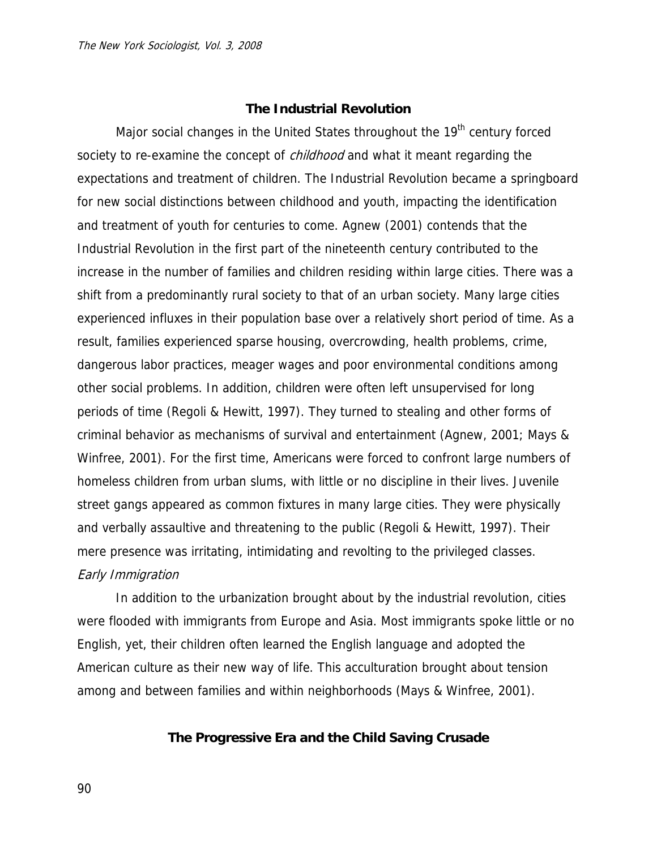## **The Industrial Revolution**

Major social changes in the United States throughout the 19<sup>th</sup> century forced society to re-examine the concept of *childhood* and what it meant regarding the expectations and treatment of children. The Industrial Revolution became a springboard for new social distinctions between childhood and youth, impacting the identification and treatment of youth for centuries to come. Agnew (2001) contends that the Industrial Revolution in the first part of the nineteenth century contributed to the increase in the number of families and children residing within large cities. There was a shift from a predominantly rural society to that of an urban society. Many large cities experienced influxes in their population base over a relatively short period of time. As a result, families experienced sparse housing, overcrowding, health problems, crime, dangerous labor practices, meager wages and poor environmental conditions among other social problems. In addition, children were often left unsupervised for long periods of time (Regoli & Hewitt, 1997). They turned to stealing and other forms of criminal behavior as mechanisms of survival and entertainment (Agnew, 2001; Mays & Winfree, 2001). For the first time, Americans were forced to confront large numbers of homeless children from urban slums, with little or no discipline in their lives. Juvenile street gangs appeared as common fixtures in many large cities. They were physically and verbally assaultive and threatening to the public (Regoli & Hewitt, 1997). Their mere presence was irritating, intimidating and revolting to the privileged classes. Early Immigration

In addition to the urbanization brought about by the industrial revolution, cities were flooded with immigrants from Europe and Asia. Most immigrants spoke little or no English, yet, their children often learned the English language and adopted the American culture as their new way of life. This acculturation brought about tension among and between families and within neighborhoods (Mays & Winfree, 2001).

# **The Progressive Era and the Child Saving Crusade**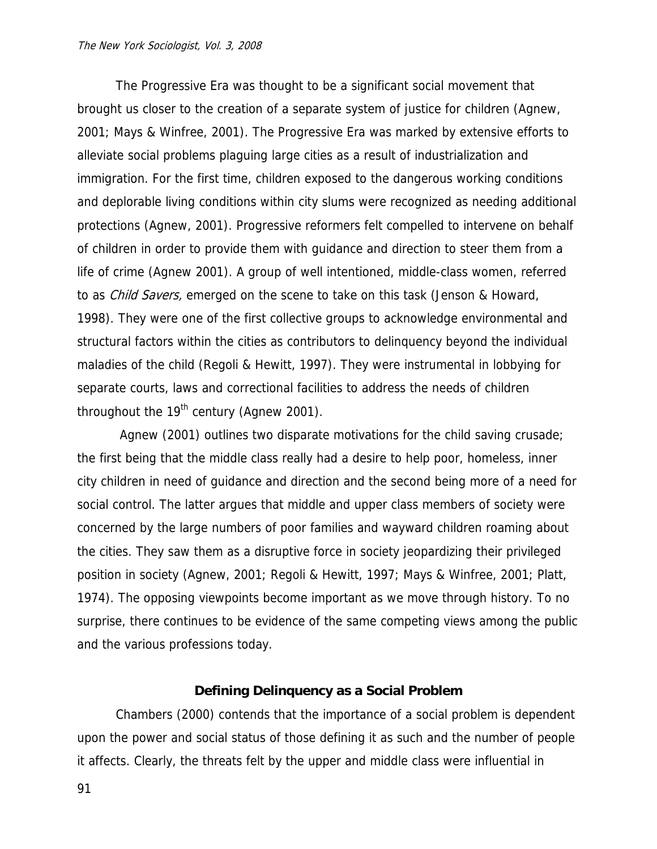The Progressive Era was thought to be a significant social movement that brought us closer to the creation of a separate system of justice for children (Agnew, 2001; Mays & Winfree, 2001). The Progressive Era was marked by extensive efforts to alleviate social problems plaguing large cities as a result of industrialization and immigration. For the first time, children exposed to the dangerous working conditions and deplorable living conditions within city slums were recognized as needing additional protections (Agnew, 2001). Progressive reformers felt compelled to intervene on behalf of children in order to provide them with guidance and direction to steer them from a life of crime (Agnew 2001). A group of well intentioned, middle-class women, referred to as *Child Savers*, emerged on the scene to take on this task (Jenson & Howard, 1998). They were one of the first collective groups to acknowledge environmental and structural factors within the cities as contributors to delinquency beyond the individual maladies of the child (Regoli & Hewitt, 1997). They were instrumental in lobbying for separate courts, laws and correctional facilities to address the needs of children throughout the  $19<sup>th</sup>$  century (Agnew 2001).

 Agnew (2001) outlines two disparate motivations for the child saving crusade; the first being that the middle class really had a desire to help poor, homeless, inner city children in need of guidance and direction and the second being more of a need for social control. The latter argues that middle and upper class members of society were concerned by the large numbers of poor families and wayward children roaming about the cities. They saw them as a disruptive force in society jeopardizing their privileged position in society (Agnew, 2001; Regoli & Hewitt, 1997; Mays & Winfree, 2001; Platt, 1974). The opposing viewpoints become important as we move through history. To no surprise, there continues to be evidence of the same competing views among the public and the various professions today.

## **Defining Delinquency as a Social Problem**

Chambers (2000) contends that the importance of a social problem is dependent upon the power and social status of those defining it as such and the number of people it affects. Clearly, the threats felt by the upper and middle class were influential in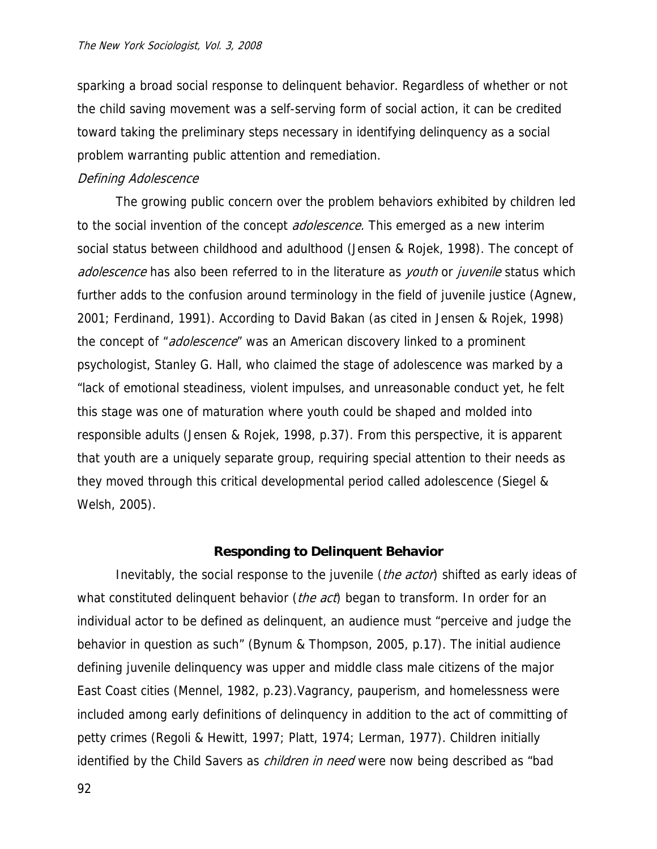sparking a broad social response to delinquent behavior. Regardless of whether or not the child saving movement was a self-serving form of social action, it can be credited toward taking the preliminary steps necessary in identifying delinquency as a social problem warranting public attention and remediation.

# Defining Adolescence

The growing public concern over the problem behaviors exhibited by children led to the social invention of the concept *adolescence*. This emerged as a new interim social status between childhood and adulthood (Jensen & Rojek, 1998). The concept of adolescence has also been referred to in the literature as *youth* or *juvenile* status which further adds to the confusion around terminology in the field of juvenile justice (Agnew, 2001; Ferdinand, 1991). According to David Bakan (as cited in Jensen & Rojek, 1998) the concept of "*adolescence*" was an American discovery linked to a prominent psychologist, Stanley G. Hall, who claimed the stage of adolescence was marked by a "lack of emotional steadiness, violent impulses, and unreasonable conduct yet, he felt this stage was one of maturation where youth could be shaped and molded into responsible adults (Jensen & Rojek, 1998, p.37). From this perspective, it is apparent that youth are a uniquely separate group, requiring special attention to their needs as they moved through this critical developmental period called adolescence (Siegel & Welsh, 2005).

## **Responding to Delinquent Behavior**

Inevitably, the social response to the juvenile (*the actor*) shifted as early ideas of what constituted delinquent behavior (*the act*) began to transform. In order for an individual actor to be defined as delinquent, an audience must "perceive and judge the behavior in question as such" (Bynum & Thompson, 2005, p.17). The initial audience defining juvenile delinquency was upper and middle class male citizens of the major East Coast cities (Mennel, 1982, p.23).Vagrancy, pauperism, and homelessness were included among early definitions of delinquency in addition to the act of committing of petty crimes (Regoli & Hewitt, 1997; Platt, 1974; Lerman, 1977). Children initially identified by the Child Savers as *children in need* were now being described as "bad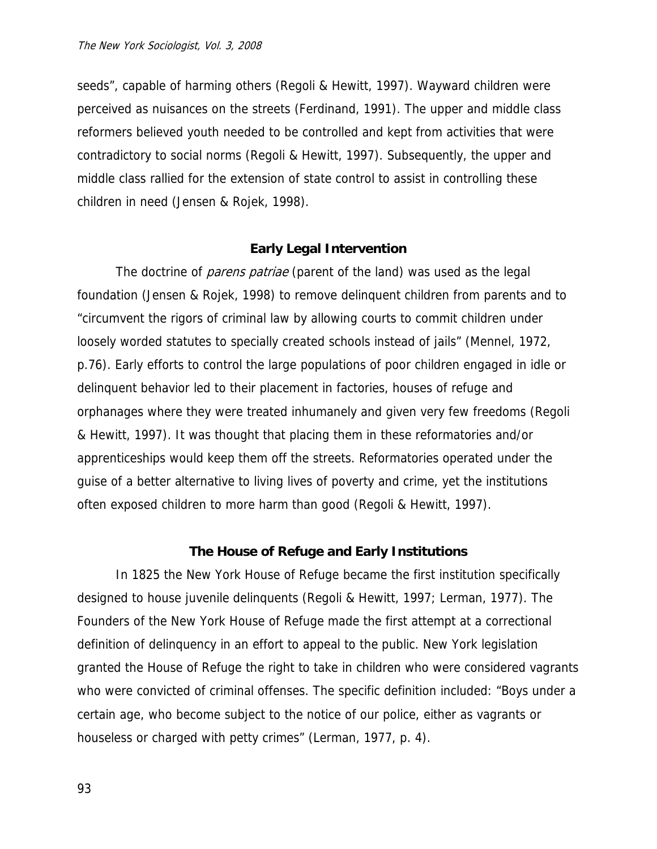seeds", capable of harming others (Regoli & Hewitt, 1997). Wayward children were perceived as nuisances on the streets (Ferdinand, 1991). The upper and middle class reformers believed youth needed to be controlled and kept from activities that were contradictory to social norms (Regoli & Hewitt, 1997). Subsequently, the upper and middle class rallied for the extension of state control to assist in controlling these children in need (Jensen & Rojek, 1998).

## **Early Legal Intervention**

The doctrine of *parens patriae* (parent of the land) was used as the legal foundation (Jensen & Rojek, 1998) to remove delinquent children from parents and to "circumvent the rigors of criminal law by allowing courts to commit children under loosely worded statutes to specially created schools instead of jails" (Mennel, 1972, p.76). Early efforts to control the large populations of poor children engaged in idle or delinquent behavior led to their placement in factories, houses of refuge and orphanages where they were treated inhumanely and given very few freedoms (Regoli & Hewitt, 1997). It was thought that placing them in these reformatories and/or apprenticeships would keep them off the streets. Reformatories operated under the guise of a better alternative to living lives of poverty and crime, yet the institutions often exposed children to more harm than good (Regoli & Hewitt, 1997).

## **The House of Refuge and Early Institutions**

 In 1825 the New York House of Refuge became the first institution specifically designed to house juvenile delinquents (Regoli & Hewitt, 1997; Lerman, 1977). The Founders of the New York House of Refuge made the first attempt at a correctional definition of delinquency in an effort to appeal to the public. New York legislation granted the House of Refuge the right to take in children who were considered vagrants who were convicted of criminal offenses. The specific definition included: "Boys under a certain age, who become subject to the notice of our police, either as vagrants or houseless or charged with petty crimes" (Lerman, 1977, p. 4).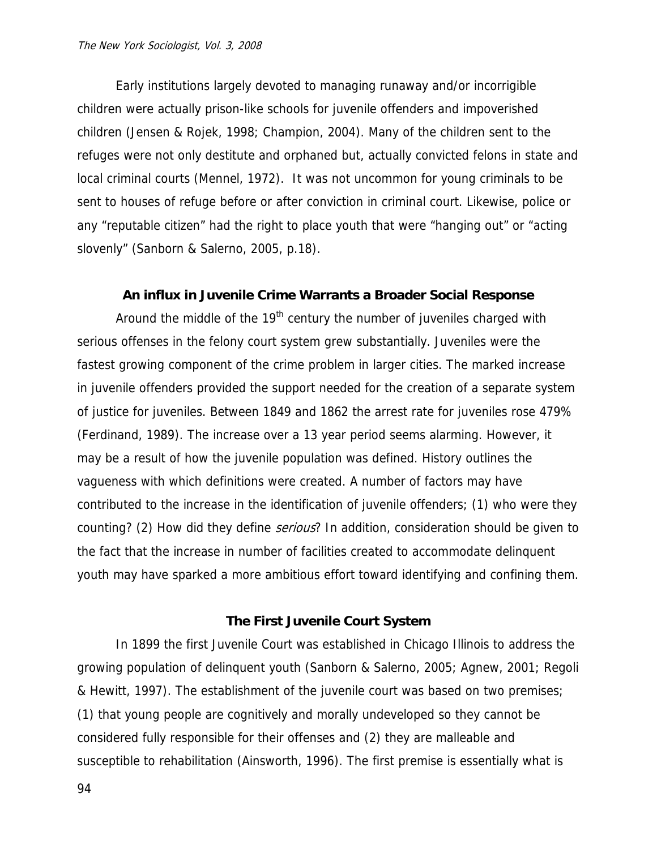Early institutions largely devoted to managing runaway and/or incorrigible children were actually prison-like schools for juvenile offenders and impoverished children (Jensen & Rojek, 1998; Champion, 2004). Many of the children sent to the refuges were not only destitute and orphaned but, actually convicted felons in state and local criminal courts (Mennel, 1972). It was not uncommon for young criminals to be sent to houses of refuge before or after conviction in criminal court. Likewise, police or any "reputable citizen" had the right to place youth that were "hanging out" or "acting slovenly" (Sanborn & Salerno, 2005, p.18).

# **An influx in Juvenile Crime Warrants a Broader Social Response**

Around the middle of the  $19<sup>th</sup>$  century the number of juveniles charged with serious offenses in the felony court system grew substantially. Juveniles were the fastest growing component of the crime problem in larger cities. The marked increase in juvenile offenders provided the support needed for the creation of a separate system of justice for juveniles. Between 1849 and 1862 the arrest rate for juveniles rose 479% (Ferdinand, 1989). The increase over a 13 year period seems alarming. However, it may be a result of how the juvenile population was defined. History outlines the vagueness with which definitions were created. A number of factors may have contributed to the increase in the identification of juvenile offenders; (1) who were they counting? (2) How did they define *serious*? In addition, consideration should be given to the fact that the increase in number of facilities created to accommodate delinquent youth may have sparked a more ambitious effort toward identifying and confining them.

## **The First Juvenile Court System**

In 1899 the first Juvenile Court was established in Chicago Illinois to address the growing population of delinquent youth (Sanborn & Salerno, 2005; Agnew, 2001; Regoli & Hewitt, 1997). The establishment of the juvenile court was based on two premises; (1) that young people are cognitively and morally undeveloped so they cannot be considered fully responsible for their offenses and (2) they are malleable and susceptible to rehabilitation (Ainsworth, 1996). The first premise is essentially what is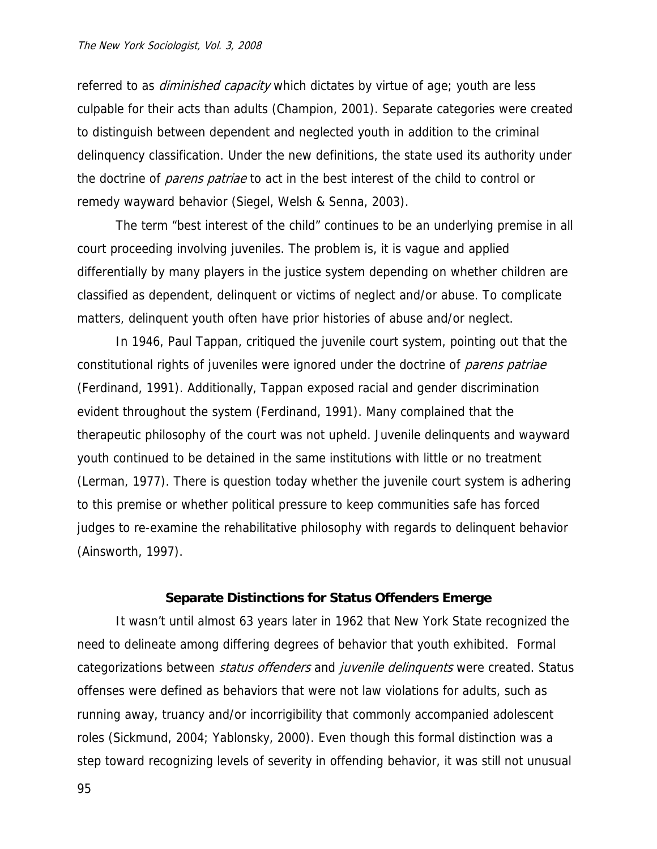referred to as *diminished capacity* which dictates by virtue of age; youth are less culpable for their acts than adults (Champion, 2001). Separate categories were created to distinguish between dependent and neglected youth in addition to the criminal delinquency classification. Under the new definitions, the state used its authority under the doctrine of *parens patriae* to act in the best interest of the child to control or remedy wayward behavior (Siegel, Welsh & Senna, 2003).

The term "best interest of the child" continues to be an underlying premise in all court proceeding involving juveniles. The problem is, it is vague and applied differentially by many players in the justice system depending on whether children are classified as dependent, delinquent or victims of neglect and/or abuse. To complicate matters, delinquent youth often have prior histories of abuse and/or neglect.

In 1946, Paul Tappan, critiqued the juvenile court system, pointing out that the constitutional rights of juveniles were ignored under the doctrine of *parens patriae* (Ferdinand, 1991). Additionally, Tappan exposed racial and gender discrimination evident throughout the system (Ferdinand, 1991). Many complained that the therapeutic philosophy of the court was not upheld. Juvenile delinquents and wayward youth continued to be detained in the same institutions with little or no treatment (Lerman, 1977). There is question today whether the juvenile court system is adhering to this premise or whether political pressure to keep communities safe has forced judges to re-examine the rehabilitative philosophy with regards to delinquent behavior (Ainsworth, 1997).

#### **Separate Distinctions for Status Offenders Emerge**

It wasn't until almost 63 years later in 1962 that New York State recognized the need to delineate among differing degrees of behavior that youth exhibited. Formal categorizations between *status offenders* and *juvenile delinquents* were created. Status offenses were defined as behaviors that were not law violations for adults, such as running away, truancy and/or incorrigibility that commonly accompanied adolescent roles (Sickmund, 2004; Yablonsky, 2000). Even though this formal distinction was a step toward recognizing levels of severity in offending behavior, it was still not unusual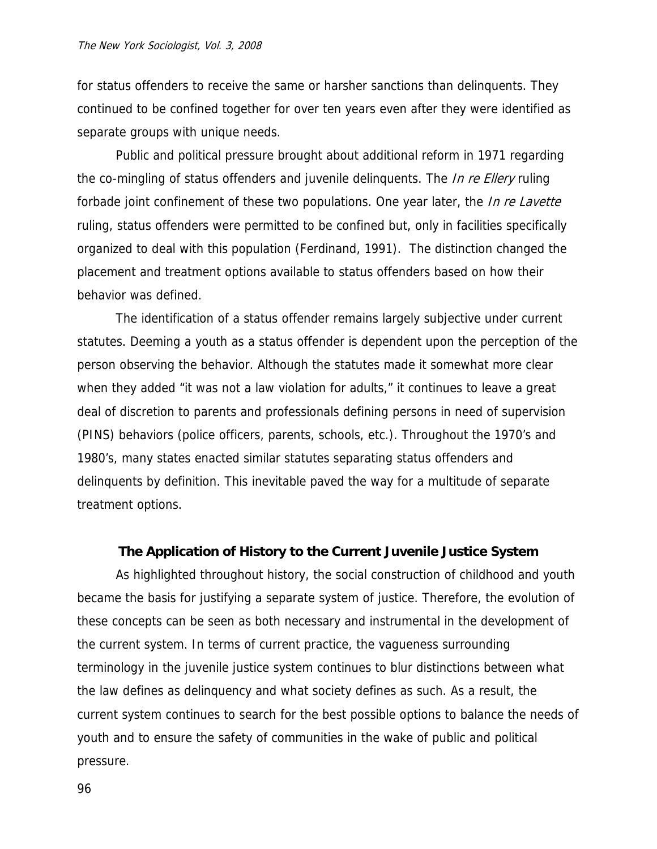for status offenders to receive the same or harsher sanctions than delinquents. They continued to be confined together for over ten years even after they were identified as separate groups with unique needs.

Public and political pressure brought about additional reform in 1971 regarding the co-mingling of status offenders and juvenile delinquents. The *In re Ellery* ruling forbade joint confinement of these two populations. One year later, the *In re Lavette* ruling, status offenders were permitted to be confined but, only in facilities specifically organized to deal with this population (Ferdinand, 1991). The distinction changed the placement and treatment options available to status offenders based on how their behavior was defined.

The identification of a status offender remains largely subjective under current statutes. Deeming a youth as a status offender is dependent upon the perception of the person observing the behavior. Although the statutes made it somewhat more clear when they added "it was not a law violation for adults," it continues to leave a great deal of discretion to parents and professionals defining persons in need of supervision (PINS) behaviors (police officers, parents, schools, etc.). Throughout the 1970's and 1980's, many states enacted similar statutes separating status offenders and delinquents by definition. This inevitable paved the way for a multitude of separate treatment options.

## **The Application of History to the Current Juvenile Justice System**

As highlighted throughout history, the social construction of childhood and youth became the basis for justifying a separate system of justice. Therefore, the evolution of these concepts can be seen as both necessary and instrumental in the development of the current system. In terms of current practice, the vagueness surrounding terminology in the juvenile justice system continues to blur distinctions between what the law defines as delinquency and what society defines as such. As a result, the current system continues to search for the best possible options to balance the needs of youth and to ensure the safety of communities in the wake of public and political pressure.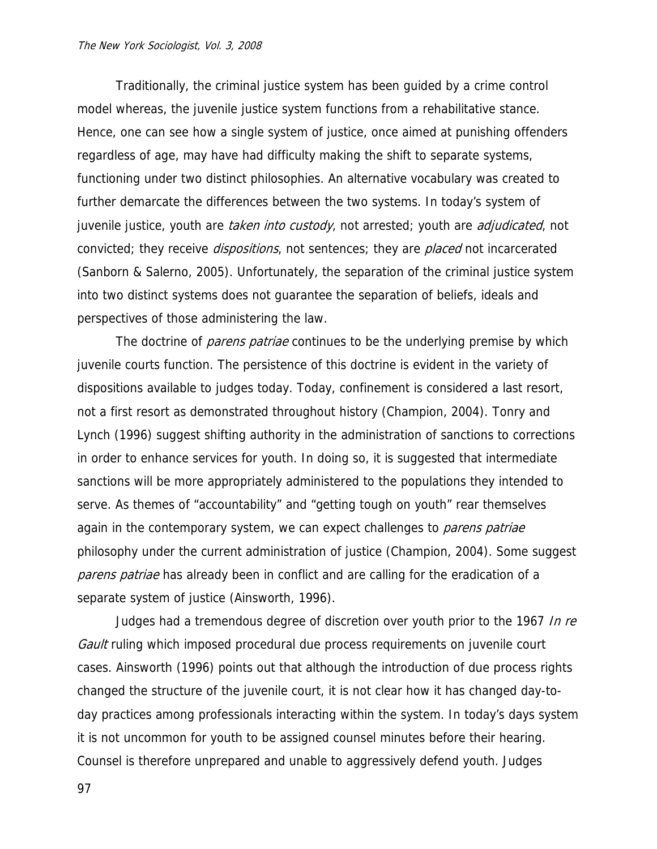Traditionally, the criminal justice system has been guided by a crime control model whereas, the juvenile justice system functions from a rehabilitative stance. Hence, one can see how a single system of justice, once aimed at punishing offenders regardless of age, may have had difficulty making the shift to separate systems, functioning under two distinct philosophies. An alternative vocabulary was created to further demarcate the differences between the two systems. In today's system of juvenile justice, youth are *taken into custody*, not arrested; youth are *adjudicated*, not convicted; they receive *dispositions*, not sentences; they are *placed* not incarcerated (Sanborn & Salerno, 2005). Unfortunately, the separation of the criminal justice system into two distinct systems does not guarantee the separation of beliefs, ideals and perspectives of those administering the law.

The doctrine of *parens patriae* continues to be the underlying premise by which juvenile courts function. The persistence of this doctrine is evident in the variety of dispositions available to judges today. Today, confinement is considered a last resort, not a first resort as demonstrated throughout history (Champion, 2004). Tonry and Lynch (1996) suggest shifting authority in the administration of sanctions to corrections in order to enhance services for youth. In doing so, it is suggested that intermediate sanctions will be more appropriately administered to the populations they intended to serve. As themes of "accountability" and "getting tough on youth" rear themselves again in the contemporary system, we can expect challenges to *parens patriae* philosophy under the current administration of justice (Champion, 2004). Some suggest parens patriae has already been in conflict and are calling for the eradication of a separate system of justice (Ainsworth, 1996).

Judges had a tremendous degree of discretion over youth prior to the 1967 In re Gault ruling which imposed procedural due process requirements on juvenile court cases. Ainsworth (1996) points out that although the introduction of due process rights changed the structure of the juvenile court, it is not clear how it has changed day-today practices among professionals interacting within the system. In today's days system it is not uncommon for youth to be assigned counsel minutes before their hearing. Counsel is therefore unprepared and unable to aggressively defend youth. Judges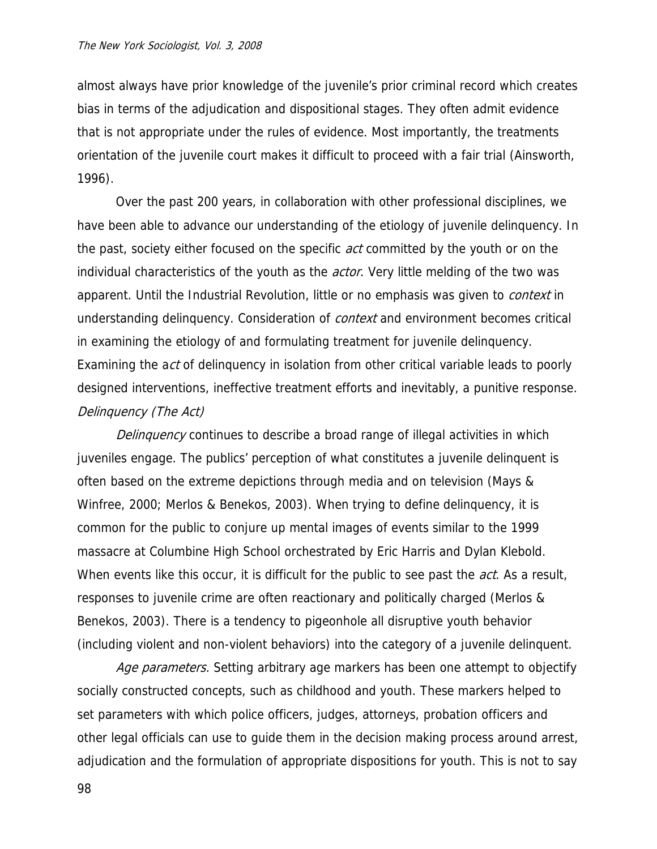almost always have prior knowledge of the juvenile's prior criminal record which creates bias in terms of the adjudication and dispositional stages. They often admit evidence that is not appropriate under the rules of evidence. Most importantly, the treatments orientation of the juvenile court makes it difficult to proceed with a fair trial (Ainsworth, 1996).

Over the past 200 years, in collaboration with other professional disciplines, we have been able to advance our understanding of the etiology of juvenile delinquency. In the past, society either focused on the specific *act* committed by the youth or on the individual characteristics of the youth as the *actor*. Very little melding of the two was apparent. Until the Industrial Revolution, little or no emphasis was given to *context* in understanding delinquency. Consideration of *context* and environment becomes critical in examining the etiology of and formulating treatment for juvenile delinquency. Examining the act of delinquency in isolation from other critical variable leads to poorly designed interventions, ineffective treatment efforts and inevitably, a punitive response. Delinquency (The Act)

Delinquency continues to describe a broad range of illegal activities in which juveniles engage. The publics' perception of what constitutes a juvenile delinquent is often based on the extreme depictions through media and on television (Mays & Winfree, 2000; Merlos & Benekos, 2003). When trying to define delinquency, it is common for the public to conjure up mental images of events similar to the 1999 massacre at Columbine High School orchestrated by Eric Harris and Dylan Klebold. When events like this occur, it is difficult for the public to see past the *act*. As a result, responses to juvenile crime are often reactionary and politically charged (Merlos & Benekos, 2003). There is a tendency to pigeonhole all disruptive youth behavior (including violent and non-violent behaviors) into the category of a juvenile delinquent.

Age parameters. Setting arbitrary age markers has been one attempt to objectify socially constructed concepts, such as childhood and youth. These markers helped to set parameters with which police officers, judges, attorneys, probation officers and other legal officials can use to guide them in the decision making process around arrest, adjudication and the formulation of appropriate dispositions for youth. This is not to say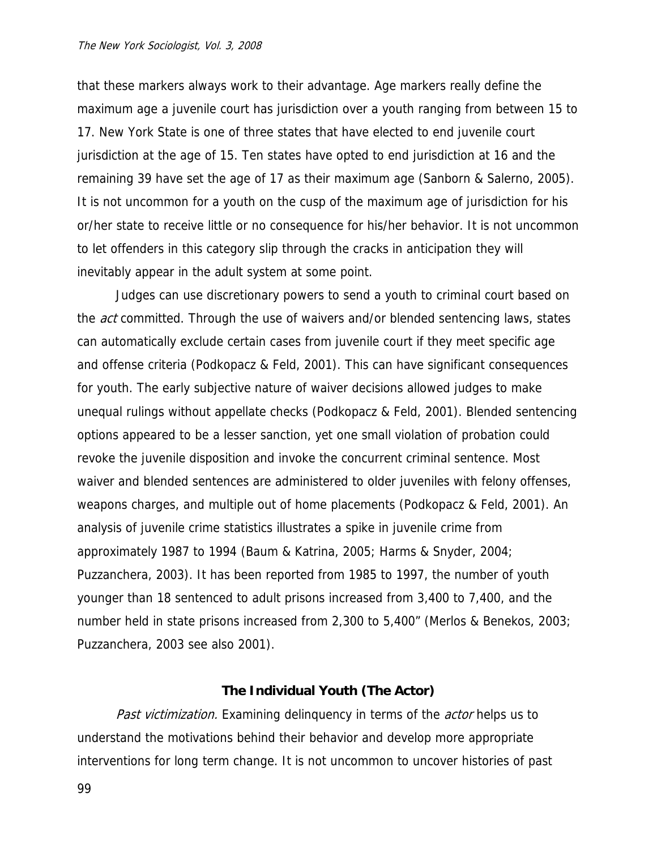that these markers always work to their advantage. Age markers really define the maximum age a juvenile court has jurisdiction over a youth ranging from between 15 to 17. New York State is one of three states that have elected to end juvenile court jurisdiction at the age of 15. Ten states have opted to end jurisdiction at 16 and the remaining 39 have set the age of 17 as their maximum age (Sanborn & Salerno, 2005). It is not uncommon for a youth on the cusp of the maximum age of jurisdiction for his or/her state to receive little or no consequence for his/her behavior. It is not uncommon to let offenders in this category slip through the cracks in anticipation they will inevitably appear in the adult system at some point.

Judges can use discretionary powers to send a youth to criminal court based on the *act* committed. Through the use of waivers and/or blended sentencing laws, states can automatically exclude certain cases from juvenile court if they meet specific age and offense criteria (Podkopacz & Feld, 2001). This can have significant consequences for youth. The early subjective nature of waiver decisions allowed judges to make unequal rulings without appellate checks (Podkopacz & Feld, 2001). Blended sentencing options appeared to be a lesser sanction, yet one small violation of probation could revoke the juvenile disposition and invoke the concurrent criminal sentence. Most waiver and blended sentences are administered to older juveniles with felony offenses, weapons charges, and multiple out of home placements (Podkopacz & Feld, 2001). An analysis of juvenile crime statistics illustrates a spike in juvenile crime from approximately 1987 to 1994 (Baum & Katrina, 2005; Harms & Snyder, 2004; Puzzanchera, 2003). It has been reported from 1985 to 1997, the number of youth younger than 18 sentenced to adult prisons increased from 3,400 to 7,400, and the number held in state prisons increased from 2,300 to 5,400" (Merlos & Benekos, 2003; Puzzanchera, 2003 see also 2001).

## **The Individual Youth (The Actor)**

Past victimization. Examining delinquency in terms of the actor helps us to understand the motivations behind their behavior and develop more appropriate interventions for long term change. It is not uncommon to uncover histories of past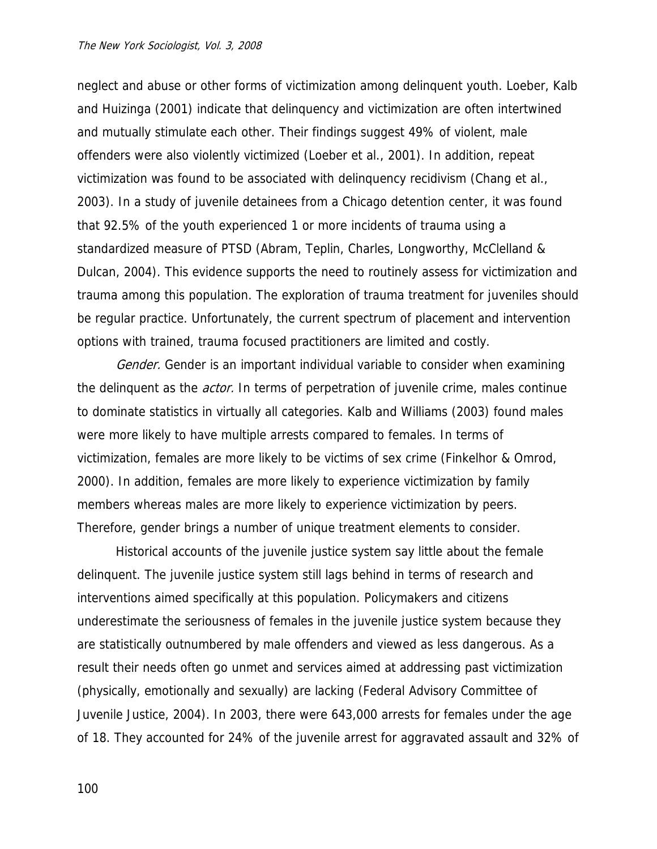neglect and abuse or other forms of victimization among delinquent youth. Loeber, Kalb and Huizinga (2001) indicate that delinquency and victimization are often intertwined and mutually stimulate each other. Their findings suggest 49% of violent, male offenders were also violently victimized (Loeber et al., 2001). In addition, repeat victimization was found to be associated with delinquency recidivism (Chang et al., 2003). In a study of juvenile detainees from a Chicago detention center, it was found that 92.5% of the youth experienced 1 or more incidents of trauma using a standardized measure of PTSD (Abram, Teplin, Charles, Longworthy, McClelland & Dulcan, 2004). This evidence supports the need to routinely assess for victimization and trauma among this population. The exploration of trauma treatment for juveniles should be regular practice. Unfortunately, the current spectrum of placement and intervention options with trained, trauma focused practitioners are limited and costly.

Gender. Gender is an important individual variable to consider when examining the delinquent as the *actor*. In terms of perpetration of juvenile crime, males continue to dominate statistics in virtually all categories. Kalb and Williams (2003) found males were more likely to have multiple arrests compared to females. In terms of victimization, females are more likely to be victims of sex crime (Finkelhor & Omrod, 2000). In addition, females are more likely to experience victimization by family members whereas males are more likely to experience victimization by peers. Therefore, gender brings a number of unique treatment elements to consider.

 Historical accounts of the juvenile justice system say little about the female delinquent. The juvenile justice system still lags behind in terms of research and interventions aimed specifically at this population. Policymakers and citizens underestimate the seriousness of females in the juvenile justice system because they are statistically outnumbered by male offenders and viewed as less dangerous. As a result their needs often go unmet and services aimed at addressing past victimization (physically, emotionally and sexually) are lacking (Federal Advisory Committee of Juvenile Justice, 2004). In 2003, there were 643,000 arrests for females under the age of 18. They accounted for 24% of the juvenile arrest for aggravated assault and 32% of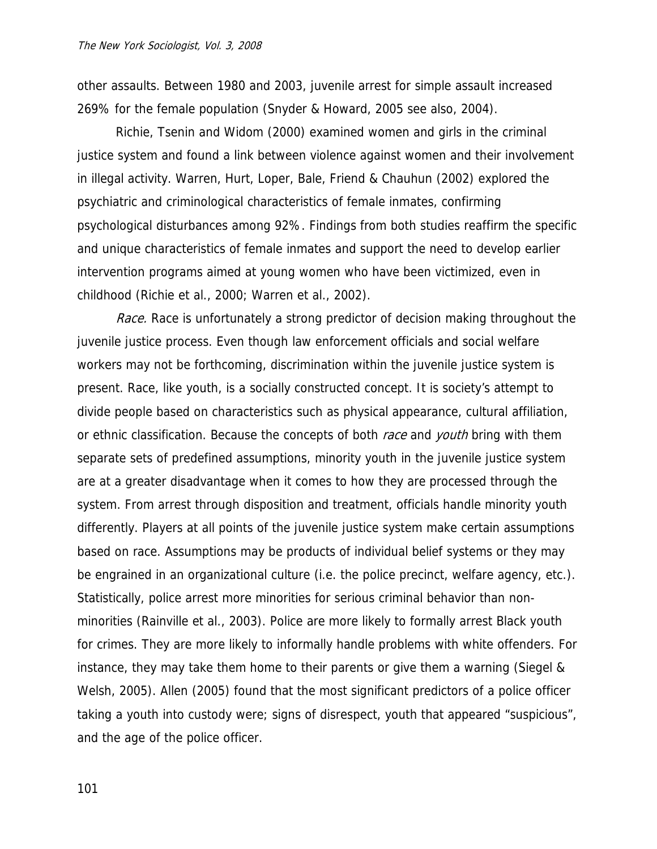other assaults. Between 1980 and 2003, juvenile arrest for simple assault increased 269% for the female population (Snyder & Howard, 2005 see also, 2004).

 Richie, Tsenin and Widom (2000) examined women and girls in the criminal justice system and found a link between violence against women and their involvement in illegal activity. Warren, Hurt, Loper, Bale, Friend & Chauhun (2002) explored the psychiatric and criminological characteristics of female inmates, confirming psychological disturbances among 92%. Findings from both studies reaffirm the specific and unique characteristics of female inmates and support the need to develop earlier intervention programs aimed at young women who have been victimized, even in childhood (Richie et al., 2000; Warren et al., 2002).

Race. Race is unfortunately a strong predictor of decision making throughout the juvenile justice process. Even though law enforcement officials and social welfare workers may not be forthcoming, discrimination within the juvenile justice system is present. Race, like youth, is a socially constructed concept. It is society's attempt to divide people based on characteristics such as physical appearance, cultural affiliation, or ethnic classification. Because the concepts of both race and youth bring with them separate sets of predefined assumptions, minority youth in the juvenile justice system are at a greater disadvantage when it comes to how they are processed through the system. From arrest through disposition and treatment, officials handle minority youth differently. Players at all points of the juvenile justice system make certain assumptions based on race. Assumptions may be products of individual belief systems or they may be engrained in an organizational culture (i.e. the police precinct, welfare agency, etc.). Statistically, police arrest more minorities for serious criminal behavior than nonminorities (Rainville et al., 2003). Police are more likely to formally arrest Black youth for crimes. They are more likely to informally handle problems with white offenders. For instance, they may take them home to their parents or give them a warning (Siegel & Welsh, 2005). Allen (2005) found that the most significant predictors of a police officer taking a youth into custody were; signs of disrespect, youth that appeared "suspicious", and the age of the police officer.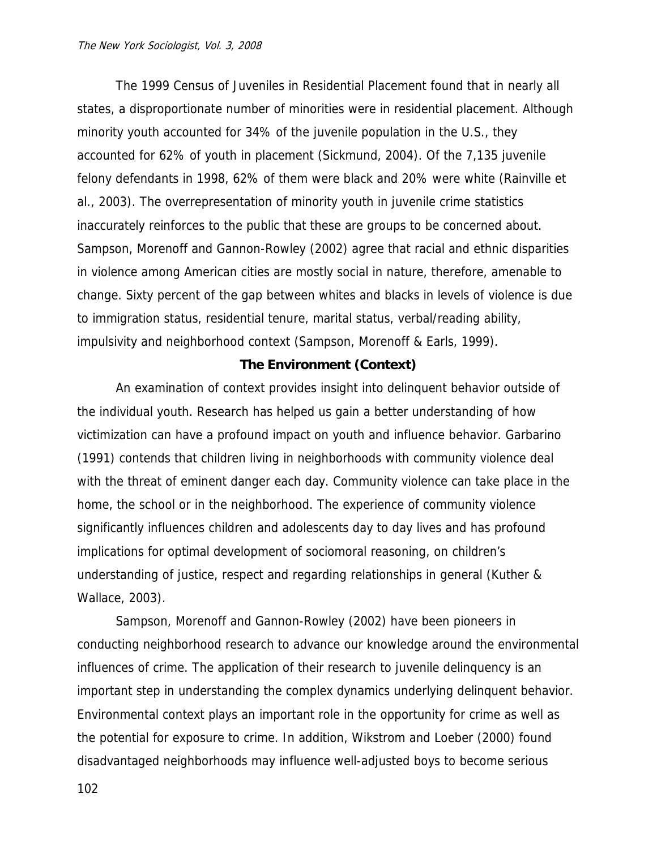The 1999 Census of Juveniles in Residential Placement found that in nearly all states, a disproportionate number of minorities were in residential placement. Although minority youth accounted for 34% of the juvenile population in the U.S., they accounted for 62% of youth in placement (Sickmund, 2004). Of the 7,135 juvenile felony defendants in 1998, 62% of them were black and 20% were white (Rainville et al., 2003). The overrepresentation of minority youth in juvenile crime statistics inaccurately reinforces to the public that these are groups to be concerned about. Sampson, Morenoff and Gannon-Rowley (2002) agree that racial and ethnic disparities in violence among American cities are mostly social in nature, therefore, amenable to change. Sixty percent of the gap between whites and blacks in levels of violence is due to immigration status, residential tenure, marital status, verbal/reading ability, impulsivity and neighborhood context (Sampson, Morenoff & Earls, 1999).

# **The Environment (Context)**

 An examination of context provides insight into delinquent behavior outside of the individual youth. Research has helped us gain a better understanding of how victimization can have a profound impact on youth and influence behavior. Garbarino (1991) contends that children living in neighborhoods with community violence deal with the threat of eminent danger each day. Community violence can take place in the home, the school or in the neighborhood. The experience of community violence significantly influences children and adolescents day to day lives and has profound implications for optimal development of sociomoral reasoning, on children's understanding of justice, respect and regarding relationships in general (Kuther & Wallace, 2003).

 Sampson, Morenoff and Gannon-Rowley (2002) have been pioneers in conducting neighborhood research to advance our knowledge around the environmental influences of crime. The application of their research to juvenile delinquency is an important step in understanding the complex dynamics underlying delinquent behavior. Environmental context plays an important role in the opportunity for crime as well as the potential for exposure to crime. In addition, Wikstrom and Loeber (2000) found disadvantaged neighborhoods may influence well-adjusted boys to become serious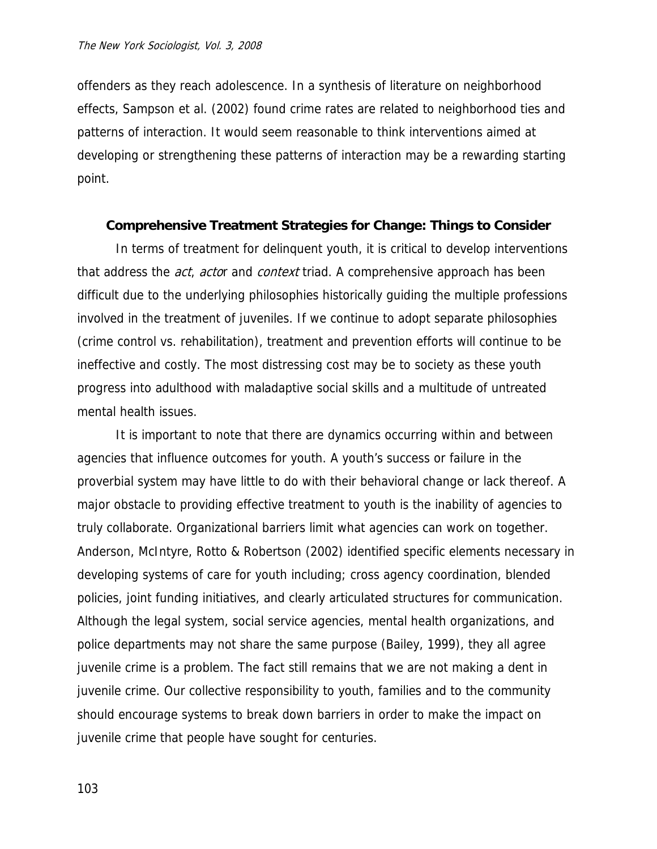offenders as they reach adolescence. In a synthesis of literature on neighborhood effects, Sampson et al. (2002) found crime rates are related to neighborhood ties and patterns of interaction. It would seem reasonable to think interventions aimed at developing or strengthening these patterns of interaction may be a rewarding starting point.

## **Comprehensive Treatment Strategies for Change: Things to Consider**

 In terms of treatment for delinquent youth, it is critical to develop interventions that address the *act, acto*r and *context* triad. A comprehensive approach has been difficult due to the underlying philosophies historically guiding the multiple professions involved in the treatment of juveniles. If we continue to adopt separate philosophies (crime control vs. rehabilitation), treatment and prevention efforts will continue to be ineffective and costly. The most distressing cost may be to society as these youth progress into adulthood with maladaptive social skills and a multitude of untreated mental health issues.

It is important to note that there are dynamics occurring within and between agencies that influence outcomes for youth. A youth's success or failure in the proverbial system may have little to do with their behavioral change or lack thereof. A major obstacle to providing effective treatment to youth is the inability of agencies to truly collaborate. Organizational barriers limit what agencies can work on together. Anderson, McIntyre, Rotto & Robertson (2002) identified specific elements necessary in developing systems of care for youth including; cross agency coordination, blended policies, joint funding initiatives, and clearly articulated structures for communication. Although the legal system, social service agencies, mental health organizations, and police departments may not share the same purpose (Bailey, 1999), they all agree juvenile crime is a problem. The fact still remains that we are not making a dent in juvenile crime. Our collective responsibility to youth, families and to the community should encourage systems to break down barriers in order to make the impact on juvenile crime that people have sought for centuries.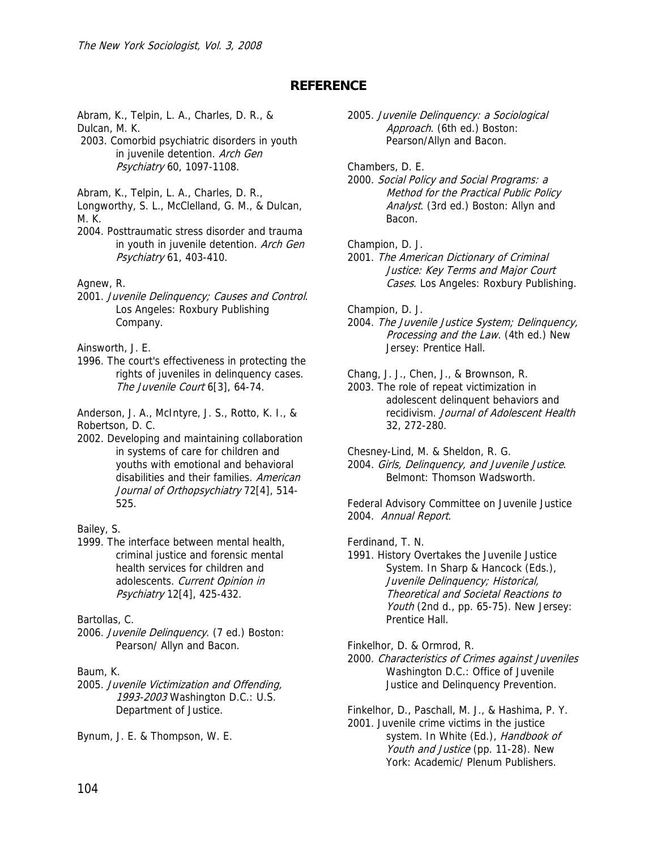# **REFERENCE**

Abram, K., Telpin, L. A., Charles, D. R., & Dulcan, M. K.

 2003. Comorbid psychiatric disorders in youth in juvenile detention. Arch Gen Psychiatry 60, 1097-1108.

Abram, K., Telpin, L. A., Charles, D. R.,

Longworthy, S. L., McClelland, G. M., & Dulcan, M. K.

2004. Posttraumatic stress disorder and trauma in youth in juvenile detention. Arch Gen Psychiatry 61, 403-410.

Agnew, R.

2001. Juvenile Delinquency; Causes and Control. Los Angeles: Roxbury Publishing Company.

Ainsworth, J. E.

1996. The court's effectiveness in protecting the rights of juveniles in delinquency cases. The Juvenile Court 6[3], 64-74.

Anderson, J. A., McIntyre, J. S., Rotto, K. I., & Robertson, D. C.

2002. Developing and maintaining collaboration in systems of care for children and youths with emotional and behavioral disabilities and their families. American Journal of Orthopsychiatry 72[4], 514-525.

Bailey, S.

1999. The interface between mental health, criminal justice and forensic mental health services for children and adolescents. Current Opinion in Psychiatry 12[4], 425-432.

Bartollas, C.

2006. Juvenile Delinquency. (7 ed.) Boston: Pearson/ Allyn and Bacon.

## Baum, K.

2005. Juvenile Victimization and Offending, 1993-2003 Washington D.C.: U.S. Department of Justice.

Bynum, J. E. & Thompson, W. E.

2005. Juvenile Delinquency: a Sociological Approach. (6th ed.) Boston: Pearson/Allyn and Bacon.

Chambers, D. E.

2000. Social Policy and Social Programs: a Method for the Practical Public Policy Analyst. (3rd ed.) Boston: Allyn and Bacon.

Champion, D. J.

2001. The American Dictionary of Criminal Justice: Key Terms and Major Court Cases. Los Angeles: Roxbury Publishing.

Champion, D. J.

2004. The Juvenile Justice System; Delinquency, Processing and the Law. (4th ed.) New Jersey: Prentice Hall.

Chang, J. J., Chen, J., & Brownson, R.

2003. The role of repeat victimization in adolescent delinquent behaviors and recidivism. Journal of Adolescent Health 32, 272-280.

Chesney-Lind, M. & Sheldon, R. G.

2004. Girls, Delinquency, and Juvenile Justice. Belmont: Thomson Wadsworth.

Federal Advisory Committee on Juvenile Justice 2004. Annual Report.

Ferdinand, T. N.

1991. History Overtakes the Juvenile Justice System. In Sharp & Hancock (Eds.), Juvenile Delinquency; Historical, Theoretical and Societal Reactions to Youth (2nd d., pp. 65-75). New Jersey: Prentice Hall.

Finkelhor, D. & Ormrod, R.

2000. Characteristics of Crimes against Juveniles Washington D.C.: Office of Juvenile Justice and Delinquency Prevention.

Finkelhor, D., Paschall, M. J., & Hashima, P. Y. 2001. Juvenile crime victims in the justice system. In White (Ed.), Handbook of Youth and Justice (pp. 11-28). New York: Academic/ Plenum Publishers.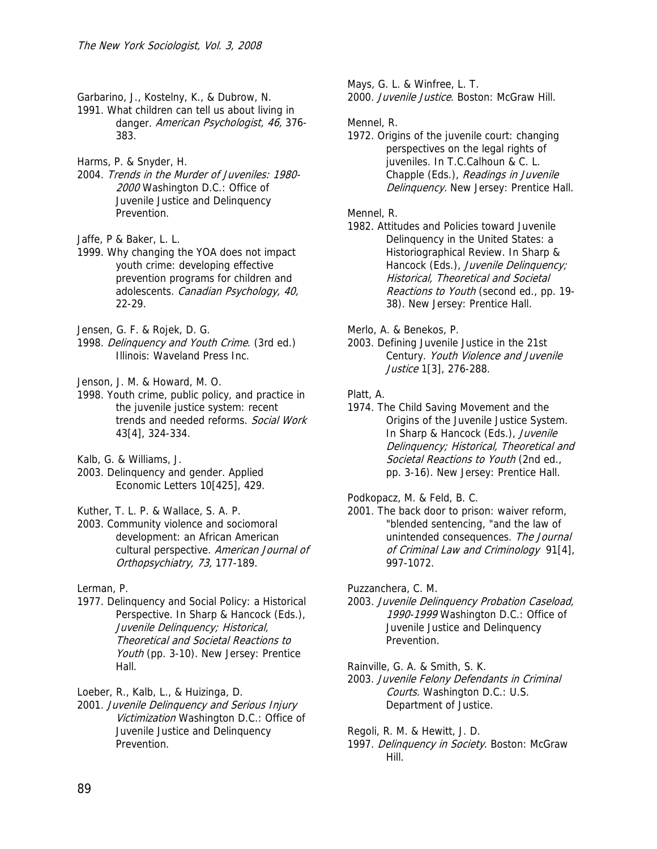Garbarino, J., Kostelny, K., & Dubrow, N.

1991. What children can tell us about living in danger. American Psychologist, 46, 376- 383.

Harms, P. & Snyder, H.

2004. Trends in the Murder of Juveniles: 1980- 2000 Washington D.C.: Office of Juvenile Justice and Delinquency Prevention.

Jaffe, P & Baker, L. L.

1999. Why changing the YOA does not impact youth crime: developing effective prevention programs for children and adolescents. Canadian Psychology, 40, 22-29.

Jensen, G. F. & Rojek, D. G.

1998. Delinquency and Youth Crime. (3rd ed.) Illinois: Waveland Press Inc.

Jenson, J. M. & Howard, M. O.

1998. Youth crime, public policy, and practice in the juvenile justice system: recent trends and needed reforms. Social Work 43[4], 324-334.

Kalb, G. & Williams, J.

2003. Delinquency and gender. Applied Economic Letters 10[425], 429.

Kuther, T. L. P. & Wallace, S. A. P.

2003. Community violence and sociomoral development: an African American cultural perspective. American Journal of Orthopsychiatry, 73, 177-189.

Lerman, P.

1977. Delinquency and Social Policy: a Historical Perspective. In Sharp & Hancock (Eds.), Juvenile Delinquency; Historical, Theoretical and Societal Reactions to Youth (pp. 3-10). New Jersey: Prentice Hall.

Loeber, R., Kalb, L., & Huizinga, D.

2001. Juvenile Delinquency and Serious Injury Victimization Washington D.C.: Office of Juvenile Justice and Delinquency Prevention.

Mays, G. L. & Winfree, L. T. 2000. *Juvenile Justice*. Boston: McGraw Hill.

## Mennel, R.

1972. Origins of the juvenile court: changing perspectives on the legal rights of juveniles. In T.C.Calhoun & C. L. Chapple (Eds.), Readings in Juvenile Delinquency. New Jersey: Prentice Hall.

#### Mennel, R.

- 1982. Attitudes and Policies toward Juvenile Delinquency in the United States: a Historiographical Review. In Sharp & Hancock (Eds.), Juvenile Delinquency; Historical, Theoretical and Societal Reactions to Youth (second ed., pp. 19- 38). New Jersey: Prentice Hall.
- Merlo, A. & Benekos, P.
- 2003. Defining Juvenile Justice in the 21st Century. Youth Violence and Juvenile Justice 1[3], 276-288.

Platt, A.

1974. The Child Saving Movement and the Origins of the Juvenile Justice System. In Sharp & Hancock (Eds.), Juvenile Delinquency; Historical, Theoretical and Societal Reactions to Youth (2nd ed., pp. 3-16). New Jersey: Prentice Hall.

Podkopacz, M. & Feld, B. C.

2001. The back door to prison: waiver reform, "blended sentencing, "and the law of unintended consequences. The Journal of Criminal Law and Criminology 91[4], 997-1072.

Puzzanchera, C. M.

- 2003. Juvenile Delinquency Probation Caseload, 1990-1999 Washington D.C.: Office of Juvenile Justice and Delinquency Prevention.
- Rainville, G. A. & Smith, S. K. 2003. Juvenile Felony Defendants in Criminal Courts. Washington D.C.: U.S. Department of Justice.

Regoli, R. M. & Hewitt, J. D. 1997. Delinquency in Society. Boston: McGraw Hill.